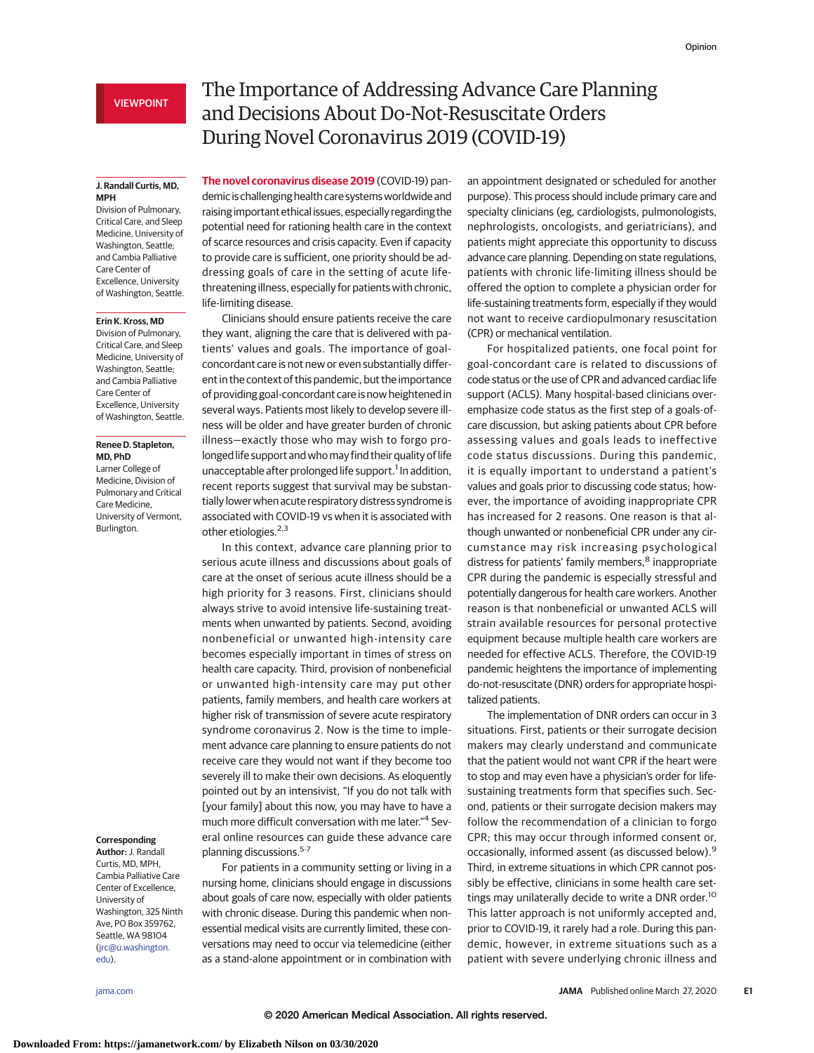# **J. Randall Curtis, MD, MPH**

Division of Pulmonary, Critical Care, and Sleep Medicine, University of Washington, Seattle; and Cambia Palliative Care Center of Excellence, University of Washington, Seattle.

#### **Erin K. Kross, MD**

Division of Pulmonary, Critical Care, and Sleep Medicine, University of Washington, Seattle; and Cambia Palliative Care Center of Excellence, University of Washington, Seattle.

### **Renee D. Stapleton, MD, PhD**

Larner College of Medicine, Division of Pulmonary and Critical Care Medicine, University of Vermont, Burlington.

## **Corresponding**

**Author:** J. Randall Curtis, MD, MPH, Cambia Palliative Care Center of Excellence, University of Washington, 325 Ninth Ave, PO Box 359762, Seattle, WA 98104 [\(jrc@u.washington.](mailto:jrc@u.washington.edu) [edu\)](mailto:jrc@u.washington.edu).

# The Importance of Addressing Advance Care Planning and Decisions About Do-Not-Resuscitate Orders During Novel Coronavirus 2019 (COVID-19)

**The novel coronavirus disease 2019** (COVID-19) pandemic is challenging health care systems worldwide and raising important ethical issues, especially regarding the potential need for rationing health care in the context of scarce resources and crisis capacity. Even if capacity to provide care is sufficient, one priority should be addressing goals of care in the setting of acute lifethreatening illness, especially for patients with chronic, life-limiting disease.

Clinicians should ensure patients receive the care they want, aligning the care that is delivered with patients' values and goals. The importance of goalconcordant care is not new or even substantially different in the context of this pandemic, but the importance of providing goal-concordant care is now heightened in several ways. Patients most likely to develop severe illness will be older and have greater burden of chronic illness—exactly those who may wish to forgo prolonged life support and who may find their quality of life unacceptable after prolonged life support.<sup>1</sup> In addition, recent reports suggest that survival may be substantially lower when acute respiratory distress syndrome is associated with COVID-19 vs when it is associated with other etiologies.<sup>2,3</sup>

In this context, advance care planning prior to serious acute illness and discussions about goals of care at the onset of serious acute illness should be a high priority for 3 reasons. First, clinicians should always strive to avoid intensive life-sustaining treatments when unwanted by patients. Second, avoiding nonbeneficial or unwanted high-intensity care becomes especially important in times of stress on health care capacity. Third, provision of nonbeneficial or unwanted high-intensity care may put other patients, family members, and health care workers at higher risk of transmission of severe acute respiratory syndrome coronavirus 2. Now is the time to implement advance care planning to ensure patients do not receive care they would not want if they become too severely ill to make their own decisions. As eloquently pointed out by an intensivist, "If you do not talk with [your family] about this now, you may have to have a much more difficult conversation with me later."<sup>4</sup> Several online resources can guide these advance care planning discussions.5-7

For patients in a community setting or living in a nursing home, clinicians should engage in discussions about goals of care now, especially with older patients with chronic disease. During this pandemic when nonessential medical visits are currently limited, these conversations may need to occur via telemedicine (either as a stand-alone appointment or in combination with an appointment designated or scheduled for another purpose). This process should include primary care and specialty clinicians (eg, cardiologists, pulmonologists, nephrologists, oncologists, and geriatricians), and patients might appreciate this opportunity to discuss advance care planning. Depending on state regulations, patients with chronic life-limiting illness should be offered the option to complete a physician order for life-sustaining treatments form, especially if they would not want to receive cardiopulmonary resuscitation (CPR) or mechanical ventilation.

For hospitalized patients, one focal point for goal-concordant care is related to discussions of code status or the use of CPR and advanced cardiac life support (ACLS). Many hospital-based clinicians overemphasize code status as the first step of a goals-ofcare discussion, but asking patients about CPR before assessing values and goals leads to ineffective code status discussions. During this pandemic, it is equally important to understand a patient's values and goals prior to discussing code status; however, the importance of avoiding inappropriate CPR has increased for 2 reasons. One reason is that although unwanted or nonbeneficial CPR under any circumstance may risk increasing psychological distress for patients' family members,<sup>8</sup> inappropriate CPR during the pandemic is especially stressful and potentially dangerous for health care workers. Another reason is that nonbeneficial or unwanted ACLS will strain available resources for personal protective equipment because multiple health care workers are needed for effective ACLS. Therefore, the COVID-19 pandemic heightens the importance of implementing do-not-resuscitate (DNR) orders for appropriate hospitalized patients.

The implementation of DNR orders can occur in 3 situations. First, patients or their surrogate decision makers may clearly understand and communicate that the patient would not want CPR if the heart were to stop and may even have a physician's order for lifesustaining treatments form that specifies such. Second, patients or their surrogate decision makers may follow the recommendation of a clinician to forgo CPR; this may occur through informed consent or, occasionally, informed assent (as discussed below).<sup>9</sup> Third, in extreme situations in which CPR cannot possibly be effective, clinicians in some health care settings may unilaterally decide to write a DNR order.<sup>10</sup> This latter approach is not uniformly accepted and, prior to COVID-19, it rarely had a role. During this pandemic, however, in extreme situations such as a patient with severe underlying chronic illness and